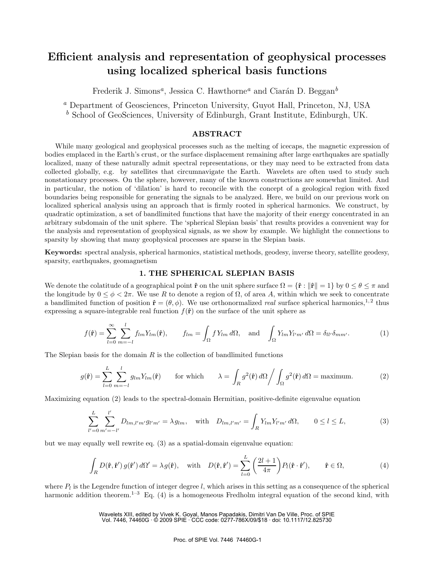# **Efficient analysis and representation of geophysical processes using localized spherical basis functions**

Frederik J. Simons<sup>*a*</sup>, Jessica C. Hawthorne<sup>*a*</sup> and Ciarán D. Beggan<sup>*b*</sup>

*<sup>a</sup>* Department of Geosciences, Princeton University, Guyot Hall, Princeton, NJ, USA

*<sup>b</sup>* School of GeoSciences, University of Edinburgh, Grant Institute, Edinburgh, UK.

# **ABSTRACT**

While many geological and geophysical processes such as the melting of icecaps, the magnetic expression of bodies emplaced in the Earth's crust, or the surface displacement remaining after large earthquakes are spatially localized, many of these naturally admit spectral representations, or they may need to be extracted from data collected globally, e.g. by satellites that circumnavigate the Earth. Wavelets are often used to study such nonstationary processes. On the sphere, however, many of the known constructions are somewhat limited. And in particular, the notion of 'dilation' is hard to reconcile with the concept of a geological region with fixed boundaries being responsible for generating the signals to be analyzed. Here, we build on our previous work on localized spherical analysis using an approach that is firmly rooted in spherical harmonics. We construct, by quadratic optimization, a set of bandlimited functions that have the majority of their energy concentrated in an arbitrary subdomain of the unit sphere. The 'spherical Slepian basis' that results provides a convenient way for the analysis and representation of geophysical signals, as we show by example. We highlight the connections to sparsity by showing that many geophysical processes are sparse in the Slepian basis.

**Keywords:** spectral analysis, spherical harmonics, statistical methods, geodesy, inverse theory, satellite geodesy, sparsity, earthquakes, geomagnetism

# **1. THE SPHERICAL SLEPIAN BASIS**

We denote the colatitude of a geographical point  $\hat{\mathbf{r}}$  on the unit sphere surface  $\Omega = {\hat{\mathbf{r}}}: ||\hat{\mathbf{r}}|| = 1$  by  $0 \le \theta \le \pi$  and the longitude by  $0 \le \phi < 2\pi$ . We use R to denote a region of  $\Omega$ , of area A, within which we seek to concentrate a bandlimited function of position  $\hat{\mathbf{r}} = (\theta, \phi)$ . We use orthonormalized *real* surface spherical harmonics,<sup>1,2</sup> thus expressing a square-integrable real function  $f(\hat{\mathbf{r}})$  on the surface of the unit sphere as

$$
f(\hat{\mathbf{r}}) = \sum_{l=0}^{\infty} \sum_{m=-l}^{l} f_{lm} Y_{lm}(\hat{\mathbf{r}}), \qquad f_{lm} = \int_{\Omega} f Y_{lm} d\Omega, \text{ and } \int_{\Omega} Y_{lm} Y_{l'm'} d\Omega = \delta_{ll'} \delta_{mm'}.
$$
 (1)

The Slepian basis for the domain  $R$  is the collection of bandlimited functions

$$
g(\hat{\mathbf{r}}) = \sum_{l=0}^{L} \sum_{m=-l}^{l} g_{lm} Y_{lm}(\hat{\mathbf{r}})
$$
 for which 
$$
\lambda = \int_{R} g^2(\hat{\mathbf{r}}) d\Omega \Big/ \int_{\Omega} g^2(\hat{\mathbf{r}}) d\Omega = \text{maximum.}
$$
 (2)

Maximizing equation (2) leads to the spectral-domain Hermitian, positive-definite eigenvalue equation

$$
\sum_{l'=0}^{L} \sum_{m'=-l'}^{l'} D_{lm,l'm'} g_{l'm'} = \lambda g_{lm}, \text{ with } D_{lm,l'm'} = \int_{R} Y_{lm} Y_{l'm'} d\Omega, \qquad 0 \le l \le L,
$$
\n(3)

but we may equally well rewrite eq. (3) as a spatial-domain eigenvalue equation:

$$
\int_{R} D(\hat{\mathbf{r}}, \hat{\mathbf{r}}') g(\hat{\mathbf{r}}') d\Omega' = \lambda g(\hat{\mathbf{r}}), \text{ with } D(\hat{\mathbf{r}}, \hat{\mathbf{r}}') = \sum_{l=0}^{L} \left(\frac{2l+1}{4\pi}\right) P_l(\hat{\mathbf{r}} \cdot \hat{\mathbf{r}}'), \qquad \hat{\mathbf{r}} \in \Omega,
$$
\n(4)

where  $P_l$  is the Legendre function of integer degree l, which arises in this setting as a consequence of the spherical harmonic addition theorem.<sup>1–3</sup> Eq. (4) is a homogeneous Fredholm integral equation of the second kind, with

> Wavelets XIII, edited by Vivek K. Goyal, Manos Papadakis, Dimitri Van De Ville, Proc. of SPIE Vol. 7446, 74460G · © 2009 SPIE · CCC code: 0277-786X/09/\$18 · doi: 10.1117/12.825730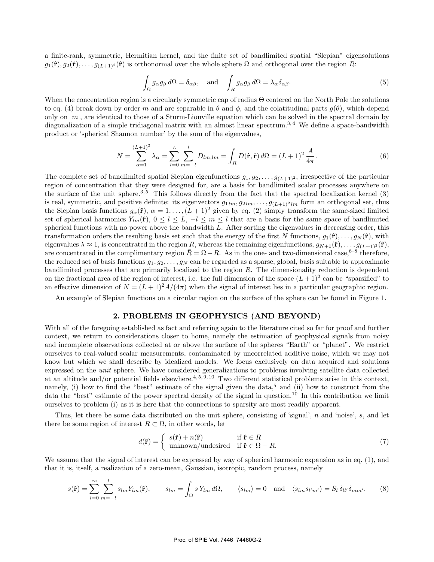a finite-rank, symmetric, Hermitian kernel, and the finite set of bandlimited spatial "Slepian" eigensolutions  $g_1(\hat{\bf r}), g_2(\hat{\bf r}), \ldots, g_{(L+1)^2}(\hat{\bf r})$  is orthonormal over the whole sphere  $\Omega$  and orthogonal over the region R:

$$
\int_{\Omega} g_{\alpha} g_{\beta} d\Omega = \delta_{\alpha\beta}, \text{ and } \int_{R} g_{\alpha} g_{\beta} d\Omega = \lambda_{\alpha} \delta_{\alpha\beta}.
$$
\n(5)

When the concentration region is a circularly symmetric cap of radius Θ centered on the North Pole the solutions to eq. (4) break down by order m and are separable in  $\theta$  and  $\phi$ , and the colatitudinal parts  $q(\theta)$ , which depend only on  $|m|$ , are identical to those of a Sturm-Liouville equation which can be solved in the spectral domain by diagonalization of a simple tridiagonal matrix with an almost linear spectrum.<sup>3,4</sup> We define a space-bandwidth product or 'spherical Shannon number' by the sum of the eigenvalues,

$$
N = \sum_{\alpha=1}^{(L+1)^2} \lambda_{\alpha} = \sum_{l=0}^{L} \sum_{m=-l}^{l} D_{lm,lm} = \int_{R} D(\hat{\mathbf{r}}, \hat{\mathbf{r}}) d\Omega = (L+1)^2 \frac{A}{4\pi}.
$$
 (6)

The complete set of bandlimited spatial Slepian eigenfunctions  $g_1, g_2, \ldots, g_{(L+1)^2}$ , irrespective of the particular region of concentration that they were designed for, are a basis for bandlimited scalar processes anywhere on the surface of the unit sphere.<sup>3,5</sup> This follows directly from the fact that the spectral localization kernel  $(3)$ is real, symmetric, and positive definite: its eigenvectors  $g_{1lm}, g_{2lm}, \ldots, g_{(L+1)^2 lm}$  form an orthogonal set, thus the Slepian basis functions  $g_{\alpha}(\hat{\mathbf{r}}), \alpha = 1, \ldots, (L+1)^2$  given by eq. (2) simply transform the same-sized limited set of spherical harmonics  $Y_{lm}(\hat{\bf r})$ ,  $0 \leq l \leq L$ ,  $-l \leq m \leq l$  that are a basis for the same space of bandlimited spherical functions with no power above the bandwidth  $L$ . After sorting the eigenvalues in decreasing order, this transformation orders the resulting basis set such that the energy of the first N functions,  $g_1(\hat{\bf r}),...,g_N(\hat{\bf r}),$  with eigenvalues  $\lambda \approx 1$ , is concentrated in the region R, whereas the remaining eigenfunctions,  $g_{N+1}(\hat{\bf r}),...,g_{(L+1)^2}(\hat{\bf r}),$ are concentrated in the complimentary region  $\bar{R} = \Omega - R$ . As in the one- and two-dimensional case,<sup>6–8</sup> therefore, the reduced set of basis functions  $g_1, g_2, \ldots, g_N$  can be regarded as a sparse, global, basis suitable to approximate bandlimited processes that are primarily localized to the region  $R$ . The dimensionality reduction is dependent on the fractional area of the region of interest, i.e. the full dimension of the space  $(L+1)^2$  can be "sparsified" to an effective dimension of  $N = (L+1)^2 A/(4\pi)$  when the signal of interest lies in a particular geographic region.

An example of Slepian functions on a circular region on the surface of the sphere can be found in Figure 1.

### **2. PROBLEMS IN GEOPHYSICS (AND BEYOND)**

With all of the foregoing established as fact and referring again to the literature cited so far for proof and further context, we return to considerations closer to home, namely the estimation of geophysical signals from noisy and incomplete observations collected at or above the surface of the spheres "Earth" or "planet". We restrict ourselves to real-valued scalar measurements, contaminated by uncorrelated additive noise, which we may not know but which we shall describe by idealized models. We focus exclusively on data acquired and solutions expressed on the *unit* sphere. We have considered generalizations to problems involving satellite data collected at an altitude and/or potential fields elsewhere.<sup>4,5, 9, 10</sup> Two different statistical problems arise in this context, namely, (i) how to find the "best" estimate of the signal given the data,<sup>5</sup> and (ii) how to construct from the data the "best" estimate of the power spectral density of the signal in question.<sup>10</sup> In this contribution we limit ourselves to problem (i) as it is here that the connections to sparsity are most readily apparent.

Thus, let there be some data distributed on the unit sphere, consisting of 'signal', n and 'noise', s, and let there be some region of interest  $R \subset \Omega$ , in other words, let

$$
d(\hat{\mathbf{r}}) = \begin{cases} s(\hat{\mathbf{r}}) + n(\hat{\mathbf{r}}) & \text{if } \hat{\mathbf{r}} \in R \\ \text{unknown/undesired} & \text{if } \hat{\mathbf{r}} \in \Omega - R. \end{cases}
$$
(7)

We assume that the signal of interest can be expressed by way of spherical harmonic expansion as in eq. (1), and that it is, itself, a realization of a zero-mean, Gaussian, isotropic, random process, namely

$$
s(\hat{\mathbf{r}}) = \sum_{l=0}^{\infty} \sum_{m=-l}^{l} s_{lm} Y_{lm}(\hat{\mathbf{r}}), \qquad s_{lm} = \int_{\Omega} s Y_{lm} d\Omega, \qquad \langle s_{lm} \rangle = 0 \quad \text{and} \quad \langle s_{lm} s_{l'm'} \rangle = S_l \, \delta_{ll'} \delta_{mm'}.\tag{8}
$$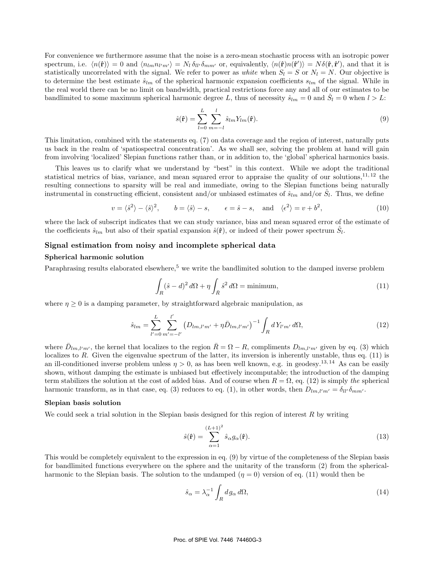For convenience we furthermore assume that the noise is a zero-mean stochastic process with an isotropic power  $\text{spectrum, i.e. } \langle n(\hat{\mathbf{r}}) \rangle = 0 \text{ and } \langle n_{lm} n_{l'm'} \rangle = N_l \, \delta_{ll'} \delta_{mm'} \text{ or, equivalently, } \langle n(\hat{\mathbf{r}}) n(\hat{\mathbf{r}}') \rangle = N \delta(\hat{\mathbf{r}}, \hat{\mathbf{r}}'), \text{ and that it is}$ statistically uncorrelated with the signal. We refer to power as *white* when  $S_l = S$  or  $N_l = N$ . Our objective is to determine the best estimate  $\hat{s}_{lm}$  of the spherical harmonic expansion coefficients  $s_{lm}$  of the signal. While in the real world there can be no limit on bandwidth, practical restrictions force any and all of our estimates to be bandlimited to some maximum spherical harmonic degree L, thus of necessity  $\hat{s}_{lm} = 0$  and  $\hat{S}_l = 0$  when  $l > L$ :

$$
\hat{s}(\hat{\mathbf{r}}) = \sum_{l=0}^{L} \sum_{m=-l}^{l} \hat{s}_{lm} Y_{lm}(\hat{\mathbf{r}}).
$$
\n(9)

This limitation, combined with the statements eq. (7) on data coverage and the region of interest, naturally puts us back in the realm of 'spatiospectral concentration'. As we shall see, solving the problem at hand will gain from involving 'localized' Slepian functions rather than, or in addition to, the 'global' spherical harmonics basis.

This leaves us to clarify what we understand by "best" in this context. While we adopt the traditional statistical metrics of bias, variance, and mean squared error to appraise the quality of our solutions, $1^{1,12}$  the resulting connections to sparsity will be real and immediate, owing to the Slepian functions being naturally instrumental in constructing efficient, consistent and/or unbiased estimates of  $\hat{s}_{lm}$  and/or  $\hat{S}_l$ . Thus, we define

$$
v = \langle \hat{s}^2 \rangle - \langle \hat{s} \rangle^2, \qquad b = \langle \hat{s} \rangle - s, \qquad \epsilon = \hat{s} - s, \quad \text{and} \quad \langle \epsilon^2 \rangle = v + b^2,
$$
 (10)

where the lack of subscript indicates that we can study variance, bias and mean squared error of the estimate of the coefficients  $\hat{s}_{lm}$  but also of their spatial expansion  $\hat{s}(\hat{r})$ , or indeed of their power spectrum  $\hat{S}_l$ .

#### **Signal estimation from noisy and incomplete spherical data**

# **Spherical harmonic solution**

Paraphrasing results elaborated elsewhere,<sup>5</sup> we write the bandlimited solution to the damped inverse problem

$$
\int_{R} (\hat{s} - d)^2 d\Omega + \eta \int_{\bar{R}} \hat{s}^2 d\Omega = \text{minimum},\tag{11}
$$

where  $\eta \geq 0$  is a damping parameter, by straightforward algebraic manipulation, as

$$
\hat{s}_{lm} = \sum_{l'=0}^{L} \sum_{m'= -l'}^{l'} \left( D_{lm,l'm'} + \eta \bar{D}_{lm,l'm'} \right)^{-1} \int_{R} dY_{l'm'} d\Omega, \tag{12}
$$

where  $\bar{D}_{lm,l'm'}$ , the kernel that localizes to the region  $\bar{R} = \Omega - R$ , compliments  $D_{lm,l'm'}$  given by eq. (3) which localizes to  $R$ . Given the eigenvalue spectrum of the latter, its inversion is inherently unstable, thus eq. (11) is an ill-conditioned inverse problem unless  $\eta > 0$ , as has been well known, e.g. in geodesy.<sup>13,14</sup> As can be easily shown, without damping the estimate is unbiased but effectively incomputable; the introduction of the damping term stabilizes the solution at the cost of added bias. And of course when  $R = \Omega$ , eq. (12) is simply *the* spherical harmonic transform, as in that case, eq. (3) reduces to eq. (1), in other words, then  $D_{lm,l'm'} = \delta_{ll'}\delta_{mm'}$ .

#### **Slepian basis solution**

We could seek a trial solution in the Slepian basis designed for this region of interest  $R$  by writing

$$
\hat{s}(\hat{\mathbf{r}}) = \sum_{\alpha=1}^{(L+1)^2} \hat{s}_{\alpha} g_{\alpha}(\hat{\mathbf{r}}).
$$
\n(13)

This would be completely equivalent to the expression in eq. (9) by virtue of the completeness of the Slepian basis for bandlimited functions everywhere on the sphere and the unitarity of the transform (2) from the sphericalharmonic to the Slepian basis. The solution to the undamped  $(\eta = 0)$  version of eq. (11) would then be

$$
\hat{s}_{\alpha} = \lambda_{\alpha}^{-1} \int_{R} dg_{\alpha} d\Omega, \tag{14}
$$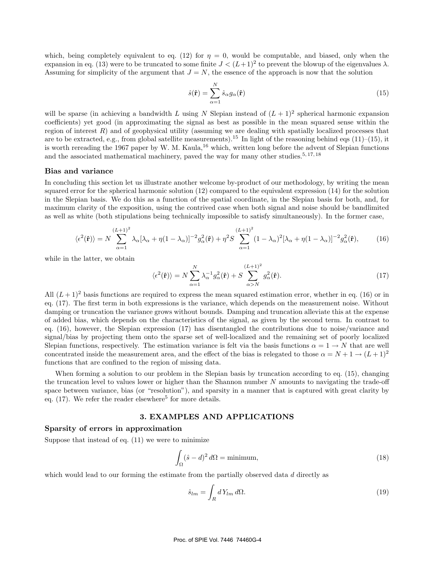which, being completely equivalent to eq. (12) for  $\eta = 0$ , would be computable, and biased, only when the expansion in eq. (13) were to be truncated to some finite  $J < (L+1)^2$  to prevent the blowup of the eigenvalues  $\lambda$ . Assuming for simplicity of the argument that  $J = N$ , the essence of the approach is now that the solution

$$
\hat{s}(\hat{\mathbf{r}}) = \sum_{\alpha=1}^{N} \hat{s}_{\alpha} g_{\alpha}(\hat{\mathbf{r}})
$$
\n(15)

will be sparse (in achieving a bandwidth L using N Slepian instead of  $(L+1)^2$  spherical harmonic expansion coefficients) yet good (in approximating the signal as best as possible in the mean squared sense within the region of interest  $R$ ) and of geophysical utility (assuming we are dealing with spatially localized processes that are to be extracted, e.g., from global satellite measurements).<sup>15</sup> In light of the reasoning behind eqs  $(11)–(15)$ , it is worth rereading the 1967 paper by W. M. Kaula,<sup>16</sup> which, written long before the advent of Slepian functions and the associated mathematical machinery, paved the way for many other studies.<sup>5, 17, 18</sup>

#### **Bias and variance**

In concluding this section let us illustrate another welcome by-product of our methodology, by writing the mean squared error for the spherical harmonic solution (12) compared to the equivalent expression (14) for the solution in the Slepian basis. We do this as a function of the spatial coordinate, in the Slepian basis for both, and, for maximum clarity of the exposition, using the contrived case when both signal and noise should be bandlimited as well as white (both stipulations being technically impossible to satisfy simultaneously). In the former case,

$$
\langle \epsilon^2(\hat{\mathbf{r}}) \rangle = N \sum_{\alpha=1}^{(L+1)^2} \lambda_{\alpha} [\lambda_{\alpha} + \eta (1 - \lambda_{\alpha})]^{-2} g_{\alpha}^2(\hat{\mathbf{r}}) + \eta^2 S \sum_{\alpha=1}^{(L+1)^2} (1 - \lambda_{\alpha})^2 [\lambda_{\alpha} + \eta (1 - \lambda_{\alpha})]^{-2} g_{\alpha}^2(\hat{\mathbf{r}}), \tag{16}
$$

while in the latter, we obtain

$$
\langle \epsilon^2(\hat{\mathbf{r}}) \rangle = N \sum_{\alpha=1}^N \lambda_{\alpha}^{-1} g_{\alpha}^2(\hat{\mathbf{r}}) + S \sum_{\alpha>N}^{(L+1)^2} g_{\alpha}^2(\hat{\mathbf{r}}). \tag{17}
$$

All  $(L+1)^2$  basis functions are required to express the mean squared estimation error, whether in eq. (16) or in eq. (17). The first term in both expressions is the variance, which depends on the measurement noise. Without damping or truncation the variance grows without bounds. Damping and truncation alleviate this at the expense of added bias, which depends on the characteristics of the signal, as given by the second term. In contrast to eq. (16), however, the Slepian expression (17) has disentangled the contributions due to noise/variance and signal/bias by projecting them onto the sparse set of well-localized and the remaining set of poorly localized Slepian functions, respectively. The estimation variance is felt via the basis functions  $\alpha = 1 \rightarrow N$  that are well concentrated inside the measurement area, and the effect of the bias is relegated to those  $\alpha = N + 1 \rightarrow (L + 1)^2$ functions that are confined to the region of missing data.

When forming a solution to our problem in the Slepian basis by truncation according to eq. (15), changing the truncation level to values lower or higher than the Shannon number  $N$  amounts to navigating the trade-off space between variance, bias (or "resolution"), and sparsity in a manner that is captured with great clarity by eq.  $(17)$ . We refer the reader elsewhere<sup>5</sup> for more details.

#### **3. EXAMPLES AND APPLICATIONS**

#### **Sparsity of errors in approximation**

Suppose that instead of eq.  $(11)$  we were to minimize

$$
\int_{\Omega} (\hat{s} - d)^2 d\Omega = \text{minimum},\tag{18}
$$

which would lead to our forming the estimate from the partially observed data d directly as

$$
\hat{s}_{lm} = \int_{R} dY_{lm} d\Omega. \tag{19}
$$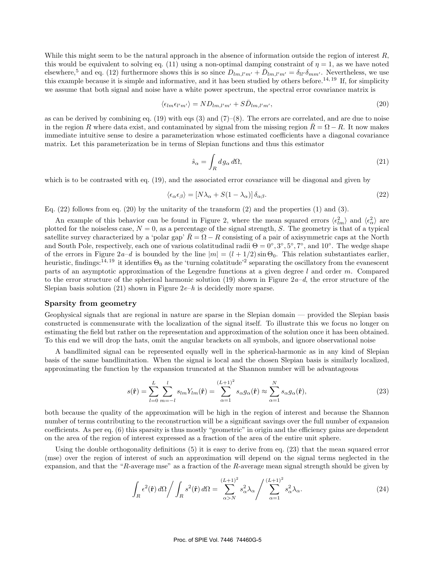While this might seem to be the natural approach in the absence of information outside the region of interest  $R$ , this would be equivalent to solving eq. (11) using a non-optimal damping constraint of  $\eta = 1$ , as we have noted elsewhere,<sup>5</sup> and eq. (12) furthermore shows this is so since  $D_{lm,l'm'} + \bar{D}_{lm,l'm'} = \delta_{ll'} \delta_{mm'}$ . Nevertheless, we use this example because it is simple and informative, and it has been studied by others before.<sup>14, 19</sup> If, for simplicity we assume that both signal and noise have a white power spectrum, the spectral error covariance matrix is

$$
\langle \epsilon_{lm} \epsilon_{l'm'} \rangle = N D_{lm,l'm'} + S \bar{D}_{lm,l'm'}, \tag{20}
$$

as can be derived by combining eq.  $(19)$  with eqs  $(3)$  and  $(7)$ – $(8)$ . The errors are correlated, and are due to noise in the region R where data exist, and contaminated by signal from the missing region  $R = \Omega - R$ . It now makes immediate intuitive sense to desire a parameterization whose estimated coefficients have a diagonal covariance matrix. Let this parameterization be in terms of Slepian functions and thus this estimator

$$
\hat{s}_{\alpha} = \int_{R} dg_{\alpha} d\Omega, \tag{21}
$$

which is to be contrasted with eq. (19), and the associated error covariance will be diagonal and given by

$$
\langle \epsilon_{\alpha} \epsilon_{\beta} \rangle = [N \lambda_{\alpha} + S(1 - \lambda_{\alpha})] \delta_{\alpha \beta}.
$$
\n(22)

Eq.  $(22)$  follows from eq.  $(20)$  by the unitarity of the transform  $(2)$  and the properties  $(1)$  and  $(3)$ .

An example of this behavior can be found in Figure 2, where the mean squared errors  $\langle \epsilon_{lm}^2 \rangle$  and  $\langle \epsilon_{\alpha}^2 \rangle$  are plotted for the noiseless case,  $N = 0$ , as a percentage of the signal strength, S. The geometry is that of a typical satellite survey characterized by a 'polar gap'  $\bar{R} = \Omega - R$  consisting of a pair of axisymmetric caps at the North and South Pole, respectively, each one of various colatitudinal radii  $\Theta = 0°, 3°, 5°, 7°$ , and  $10°$ . The wedge shape of the errors in Figure  $2a-d$  is bounded by the line  $|m| = (l + 1/2) \sin \Theta_0$ . This relation substantiates earlier, heuristic, findings:<sup>14, 19</sup> it identifies  $\Theta_0$  as the 'turning colatitude'<sup>2</sup> separating the oscillatory from the evanescent parts of an asymptotic approximation of the Legendre functions at a given degree l and order  $m$ . Compared to the error structure of the spherical harmonic solution (19) shown in Figure 2*a*–*d*, the error structure of the Slepian basis solution  $(21)$  shown in Figure  $2e-h$  is decidedly more sparse.

#### **Sparsity from geometry**

Geophysical signals that are regional in nature are sparse in the Slepian domain — provided the Slepian basis constructed is commensurate with the localization of the signal itself. To illustrate this we focus no longer on estimating the field but rather on the representation and approximation of the solution once it has been obtained. To this end we will drop the hats, omit the angular brackets on all symbols, and ignore observational noise

A bandlimited signal can be represented equally well in the spherical-harmonic as in any kind of Slepian basis of the same bandlimitation. When the signal is local and the chosen Slepian basis is similarly localized, approximating the function by the expansion truncated at the Shannon number will be advantageous

$$
s(\hat{\mathbf{r}}) = \sum_{l=0}^{L} \sum_{m=-l}^{l} s_{lm} Y_{lm}(\hat{\mathbf{r}}) = \sum_{\alpha=1}^{(L+1)^2} s_{\alpha} g_{\alpha}(\hat{\mathbf{r}}) \approx \sum_{\alpha=1}^{N} s_{\alpha} g_{\alpha}(\hat{\mathbf{r}}),
$$
\n(23)

both because the quality of the approximation will be high in the region of interest and because the Shannon number of terms contributing to the reconstruction will be a significant savings over the full number of expansion coefficients. As per eq. (6) this sparsity is thus mostly "geometric" in origin and the efficiency gains are dependent on the area of the region of interest expressed as a fraction of the area of the entire unit sphere.

Using the double orthogonality definitions (5) it is easy to derive from eq. (23) that the mean squared error (mse) over the region of interest of such an approximation will depend on the signal terms neglected in the expansion, and that the "R-average mse" as a fraction of the R-average mean signal strength should be given by

$$
\int_{R} \epsilon^{2}(\hat{\mathbf{r}}) d\Omega / \int_{R} s^{2}(\hat{\mathbf{r}}) d\Omega = \sum_{\alpha > N}^{(L+1)^{2}} s_{\alpha}^{2} \lambda_{\alpha} / \sum_{\alpha=1}^{(L+1)^{2}} s_{\alpha}^{2} \lambda_{\alpha}.
$$
\n(24)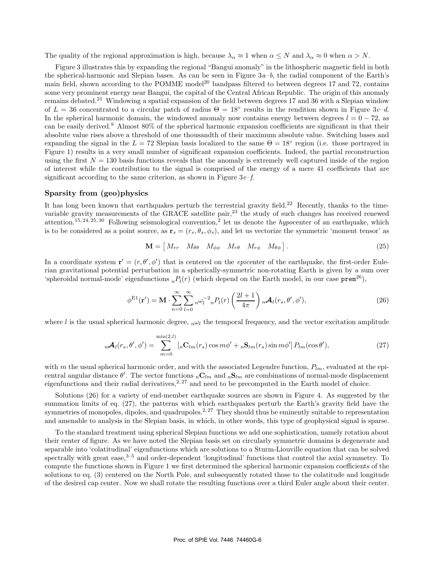The quality of the regional approximation is high, because  $\lambda_{\alpha} \approx 1$  when  $\alpha \leq N$  and  $\lambda_{\alpha} \approx 0$  when  $\alpha > N$ .

Figure 3 illustrates this by expanding the regional "Bangui anomaly" in the lithospheric magnetic field in both the spherical-harmonic and Slepian bases. As can be seen in Figure 3*a*–*b*, the radial component of the Earth's main field, shown according to the POMME model<sup>20</sup> bandpass filtered to between degrees 17 and 72, contains some very prominent energy near Bangui, the capital of the Central African Republic. The origin of this anomaly remains debated.<sup>21</sup> Windowing a spatial expansion of the field between degrees 17 and 36 with a Slepian window of  $L = 36$  concentrated to a circular patch of radius  $\Theta = 18^\circ$  results in the rendition shown in Figure 3*c–d*. In the spherical harmonic domain, the windowed anomaly now contains energy between degrees  $l = 0 - 72$ , as can be easily derived.<sup>9</sup> Almost 80% of the spherical harmonic expansion coefficients are significant in that their absolute value rises above a threshold of one thousandth of their maximum absolute value. Switching bases and expanding the signal in the  $L = 72$  Slepian basis localized to the same  $\Theta = 18^\circ$  region (i.e. those portrayed in Figure 1) results in a very small number of significant expansion coefficients. Indeed, the partial reconstruction using the first  $N = 130$  basis functions reveals that the anomaly is extremely well captured inside of the region of interest while the contribution to the signal is comprised of the energy of a mere 41 coefficients that are significant according to the same criterion, as shown in Figure 3*e*–*f*.

#### **Sparsity from (geo)physics**

It has long been known that earthquakes perturb the terrestrial gravity field.<sup>22</sup> Recently, thanks to the timevariable gravity measurements of the GRACE satellite pair,<sup>23</sup> the study of such changes has received renewed attention.<sup>15, 24, 25, 30</sup> Following seismological convention,<sup>2</sup> let us denote the *hypocenter* of an earthquake, which is to be considered as a point source, as  $\mathbf{r}_s = (r_s, \theta_s, \phi_s)$ , and let us vectorize the symmetric 'moment tensor' as

$$
\mathbf{M} = \begin{bmatrix} M_{rr} & M_{\theta\theta} & M_{\phi\phi} & M_{r\theta} & M_{r\phi} & M_{\theta\phi} \end{bmatrix}.
$$
 (25)

In a coordinate system  $\mathbf{r}' = (r, \theta', \phi')$  that is centered on the *epicenter* of the earthquake, the first-order Eulerian gravitational potential perturbation in a spherically-symmetric non-rotating Earth is given by a sum over 'spheroidal normal-mode' eigenfunctions  ${}_{n}P_{l}(r)$  (which depend on the Earth model, in our case prem<sup>26</sup>),

$$
\phi^{\text{E1}}(\mathbf{r}') = \mathbf{M} \cdot \sum_{n=0}^{\infty} \sum_{l=0}^{\infty} {}_{n} \omega_{l}^{-2} {}_{n} P_{l}(r) \left( \frac{2l+1}{4\pi} \right) {}_{n} \mathcal{A}_{l}(r_{s}, \theta', \phi'), \tag{26}
$$

where l is the usual spherical harmonic degree,  $n\omega_l$  the temporal frequency, and the vector excitation amplitude

$$
{}_{n}\mathcal{A}_{l}(r_{s},\theta',\phi') = \sum_{m=0}^{\min(2,l)} \left[ {}_{n}\mathbf{C}_{lm}(r_{s}) \cos m\phi' + {}_{n}\mathbf{S}_{lm}(r_{s}) \sin m\phi' \right] P_{lm}(\cos\theta'), \tag{27}
$$

with m the usual spherical harmonic order, and with the associated Legendre function,  $P_{lm}$ , evaluated at the epicentral angular distance  $\theta'$ . The vector functions  ${}_{n}C_{lm}$  and  ${}_{n}S_{lm}$  are combinations of normal-mode displacement eigenfunctions and their radial derivatives,  $2.27$  and need to be precomputed in the Earth model of choice.

Solutions (26) for a variety of end-member earthquake sources are shown in Figure 4. As suggested by the summation limits of eq.  $(27)$ , the patterns with which earthquakes perturb the Earth's gravity field have the symmetries of monopoles, dipoles, and quadrupoles.<sup>2, 27</sup> They should thus be eminently suitable to representation and amenable to analysis in the Slepian basis, in which, in other words, this type of geophysical signal is sparse.

To the standard treatment using spherical Slepian functions we add one sophistication, namely rotation about their center of figure. As we have noted the Slepian basis set on circularly symmetric domains is degenerate and separable into 'colatitudinal' eigenfunctions which are solutions to a Sturm-Liouville equation that can be solved spectrally with great ease, $3-5$  and order-dependent 'longitudinal' functions that control the axial symmetry. To compute the functions shown in Figure 1 we first determined the spherical harmonic expansion coefficients of the solutions to eq. (3) centered on the North Pole, and subsequently rotated those to the colatitude and longitude of the desired cap center. Now we shall rotate the resulting functions over a third Euler angle about their center.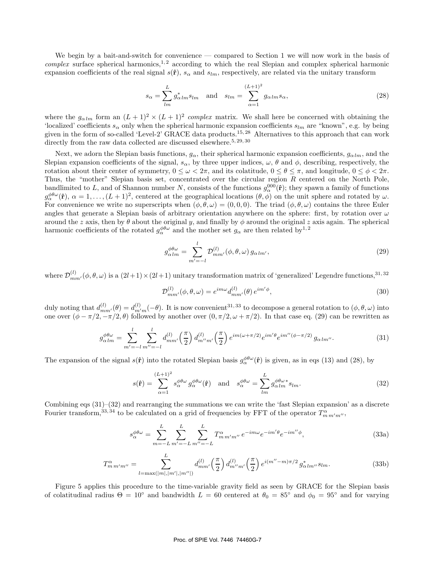We begin by a bait-and-switch for convenience — compared to Section 1 we will now work in the basis of *complex* surface spherical harmonics,<sup>1,2</sup> according to which the real Slepian and complex spherical harmonic expansion coefficients of the real signal  $s(\hat{\bf r})$ ,  $s_\alpha$  and  $s_{lm}$ , respectively, are related via the unitary transform

$$
s_{\alpha} = \sum_{lm}^{L} g_{\alpha lm}^{*} s_{lm} \quad \text{and} \quad s_{lm} = \sum_{\alpha=1}^{(L+1)^2} g_{\alpha lm} s_{\alpha}, \tag{28}
$$

where the  $g_{\alpha l m}$  form an  $(L + 1)^2 \times (L + 1)^2$  *complex* matrix. We shall here be concerned with obtaining the 'localized' coefficients  $s_\alpha$  only when the spherical harmonic expansion coefficients  $s_{lm}$  are "known", e.g. by being given in the form of so-called 'Level-2' GRACE data products.<sup>15, 28</sup> Alternatives to this approach that can work directly from the raw data collected are discussed elsewhere.<sup>5, 29, 30</sup>

Next, we adorn the Slepian basis functions,  $g_{\alpha}$ , their spherical harmonic expansion coefficients,  $g_{\alpha lm}$ , and the Slepian expansion coefficients of the signal,  $s_{\alpha}$ , by three upper indices,  $\omega$ ,  $\theta$  and  $\phi$ , describing, respectively, the rotation about their center of symmetry,  $0 \leq \omega < 2\pi$ , and its colatitude,  $0 \leq \theta \leq \pi$ , and longitude,  $0 \leq \phi < 2\pi$ . Thus, the "mother" Slepian basis set, concentrated over the circular region R centered on the North Pole, bandlimited to L, and of Shannon number N, consists of the functions  $g_{\alpha}^{000}(\hat{\bf r})$ ; they spawn a family of functions  $g_{\alpha}^{\phi\theta\omega}(\hat{\mathbf{r}}), \alpha = 1,\ldots,(L+1)^2$ , centered at the geographical locations  $(\theta, \phi)$  on the unit sphere and rotated by  $\omega$ . For convenience we write no superscripts when  $(\phi, \theta, \omega) = (0, 0, 0)$ . The triad  $(\phi, \theta, \omega)$  contains the three Euler angles that generate a Slepian basis of arbitrary orientation anywhere on the sphere: first, by rotation over  $\omega$ around the z axis, then by  $\theta$  about the original y, and finally by  $\phi$  around the original z axis again. The spherical harmonic coefficients of the rotated  $g_{\alpha}^{\phi\theta\omega}$  and the mother set  $g_{\alpha}$  are then related by<sup>1,2</sup>

$$
g_{\alpha lm}^{\phi\theta\omega} = \sum_{m'= -l}^{l} \mathcal{D}_{mm'}^{(l)}(\phi, \theta, \omega) g_{\alpha lm'},
$$
\n(29)

where  $\mathcal{D}_{mm'}^{(l)}(\phi,\theta,\omega)$  is a  $(2l+1)\times(2l+1)$  unitary transformation matrix of 'generalized' Legendre functions,<sup>31,32</sup>

$$
\mathcal{D}_{mm'}^{(l)}(\phi,\theta,\omega) = e^{im\omega} d_{mm'}^{(l)}(\theta) e^{im'\phi},\qquad(30)
$$

duly noting that  $d_{mn}^{(l)}$  $\binom{(l)}{mm'}(\theta) = d_{m'}^{(l)}$  $\binom{n}{m'-n}$ . It is now convenient<sup>31,33</sup> to decompose a general rotation to  $(\phi, \theta, \omega)$  into one over  $(\phi - \pi/2, -\pi/2, \theta)$  followed by another over  $(0, \pi/2, \omega + \pi/2)$ . In that case eq. (29) can be rewritten as

$$
g_{\alpha lm}^{\phi\theta\omega} = \sum_{m'=-l}^{l} \sum_{m''=-l}^{l} d_{mm'}^{(l)} \left(\frac{\pi}{2}\right) d_{m''m'}^{(l)} \left(\frac{\pi}{2}\right) e^{im(\omega+\pi/2)} e^{im'\theta} e^{im''(\phi-\pi/2)} g_{\alpha lm''}.
$$
 (31)

The expansion of the signal  $s(\hat{\bf r})$  into the rotated Slepian basis  $g_{\alpha}^{\phi\theta\omega}(\hat{\bf r})$  is given, as in eqs (13) and (28), by

$$
s(\hat{\mathbf{r}}) = \sum_{\alpha=1}^{(L+1)^2} s_{\alpha}^{\phi\theta\omega} g_{\alpha}^{\phi\theta\omega}(\hat{\mathbf{r}}) \quad \text{and} \quad s_{\alpha}^{\phi\theta\omega} = \sum_{lm}^{L} g_{\alpha lm}^{\phi\theta\omega} s_{lm}.
$$
 (32)

Combining eqs (31)–(32) and rearranging the summations we can write the 'fast Slepian expansion' as a discrete Fourier transform,<sup>33, 34</sup> to be calculated on a grid of frequencies by FFT of the operator  $T^{\alpha}_{m m' m''}$ ,

$$
s_{\alpha}^{\phi\theta\omega} = \sum_{m=-L}^{L} \sum_{m'=-L}^{L} \sum_{m''=-L}^{L} T_{m\,m'm''}^{\alpha} e^{-im\omega} e^{-im'\theta} e^{-im''\phi}, \tag{33a}
$$

$$
T_{m\,m'm''}^{\alpha} = \sum_{l=\max(|m|,|m'|,|m''|)}^{L} d_{mm'}^{(l)}\left(\frac{\pi}{2}\right) d_{m''m'}^{(l)}\left(\frac{\pi}{2}\right) e^{i(m''-m)\pi/2} g_{\alpha\,lm''}^* s_{lm}.
$$
 (33b)

Figure 5 applies this procedure to the time-variable gravity field as seen by GRACE for the Slepian basis of colatitudinal radius  $\Theta = 10^{\circ}$  and bandwidth  $L = 60$  centered at  $\theta_0 = 85^{\circ}$  and  $\phi_0 = 95^{\circ}$  and for varying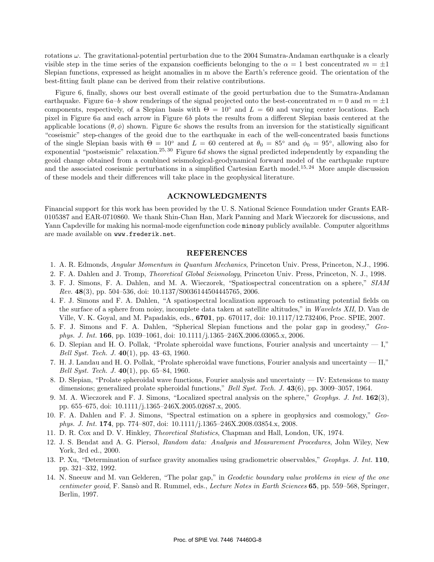rotations  $\omega$ . The gravitational-potential perturbation due to the 2004 Sumatra-Andaman earthquake is a clearly visible step in the time series of the expansion coefficients belonging to the  $\alpha = 1$  best concentrated  $m = \pm 1$ Slepian functions, expressed as height anomalies in m above the Earth's reference geoid. The orientation of the best-fitting fault plane can be derived from their relative contributions.

Figure 6, finally, shows our best overall estimate of the geoid perturbation due to the Sumatra-Andaman earthquake. Figure  $6a-b$  show renderings of the signal projected onto the best-concentrated  $m = 0$  and  $m = \pm 1$ components, respectively, of a Slepian basis with  $\Theta = 10^{\circ}$  and  $L = 60$  and varying center locations. Each pixel in Figure 6*a* and each arrow in Figure 6*b* plots the results from a different Slepian basis centered at the applicable locations  $(\theta, \phi)$  shown. Figure 6*c* shows the results from an inversion for the statistically significant "coseismic" step-changes of the geoid due to the earthquake in each of the well-concentrated basis functions of the single Slepian basis with  $\Theta = 10^{\circ}$  and  $L = 60$  centered at  $\theta_0 = 85^{\circ}$  and  $\phi_0 = 95^{\circ}$ , allowing also for exponential "postseismic" relaxation.25, 30 Figure 6*d* shows the signal predicted independently by expanding the geoid change obtained from a combined seismological-geodynamical forward model of the earthquake rupture and the associated coseismic perturbations in a simplified Cartesian Earth model.<sup>15, 24</sup> More ample discussion of these models and their differences will take place in the geophysical literature.

#### **ACKNOWLEDGMENTS**

Financial support for this work has been provided by the U. S. National Science Foundation under Grants EAR-0105387 and EAR-0710860. We thank Shin-Chan Han, Mark Panning and Mark Wieczorek for discussions, and Yann Capdeville for making his normal-mode eigenfunction code minosy publicly available. Computer algorithms are made available on www.frederik.net.

#### **REFERENCES**

- 1. A. R. Edmonds, *Angular Momentum in Quantum Mechanics*, Princeton Univ. Press, Princeton, N.J., 1996.
- 2. F. A. Dahlen and J. Tromp, *Theoretical Global Seismology*, Princeton Univ. Press, Princeton, N. J., 1998.
- 3. F. J. Simons, F. A. Dahlen, and M. A. Wieczorek, "Spatiospectral concentration on a sphere," *SIAM Rev.* **48**(3), pp. 504–536, doi: 10.1137/S0036144504445765, 2006.
- 4. F. J. Simons and F. A. Dahlen, "A spatiospectral localization approach to estimating potential fields on the surface of a sphere from noisy, incomplete data taken at satellite altitudes," in *Wavelets XII*, D. Van de Ville, V. K. Goyal, and M. Papadakis, eds., **6701**, pp. 670117, doi: 10.1117/12.732406, Proc. SPIE, 2007.
- 5. F. J. Simons and F. A. Dahlen, "Spherical Slepian functions and the polar gap in geodesy," *Geophys. J. Int.* **166**, pp. 1039–1061, doi: 10.1111/j.1365–246X.2006.03065.x, 2006.
- 6. D. Slepian and H. O. Pollak, "Prolate spheroidal wave functions, Fourier analysis and uncertainty  $-1$ ," *Bell Syst. Tech. J.* **40**(1), pp. 43–63, 1960.
- 7. H. J. Landau and H. O. Pollak, "Prolate spheroidal wave functions, Fourier analysis and uncertainty II," *Bell Syst. Tech. J.* **40**(1), pp. 65–84, 1960.
- 8. D. Slepian, "Prolate spheroidal wave functions, Fourier analysis and uncertainty IV: Extensions to many dimensions; generalized prolate spheroidal functions," *Bell Syst. Tech. J.* **43**(6), pp. 3009–3057, 1964.
- 9. M. A. Wieczorek and F. J. Simons, "Localized spectral analysis on the sphere," *Geophys. J. Int.* **162**(3), pp. 655–675, doi: 10.1111/j.1365–246X.2005.02687.x, 2005.
- 10. F. A. Dahlen and F. J. Simons, "Spectral estimation on a sphere in geophysics and cosmology," *Geophys. J. Int.* **174**, pp. 774–807, doi: 10.1111/j.1365–246X.2008.03854.x, 2008.
- 11. D. R. Cox and D. V. Hinkley, *Theoretical Statistics*, Chapman and Hall, London, UK, 1974.
- 12. J. S. Bendat and A. G. Piersol, *Random data: Analysis and Measurement Procedures*, John Wiley, New York, 3rd ed., 2000.
- 13. P. Xu, "Determination of surface gravity anomalies using gradiometric observables," *Geophys. J. Int.* **110**, pp. 321–332, 1992.
- 14. N. Sneeuw and M. van Gelderen, "The polar gap," in *Geodetic boundary value problems in view of the one centimeter geoid*, F. Sansò and R. Rummel, eds., *Lecture Notes in Earth Sciences* 65, pp. 559–568, Springer, Berlin, 1997.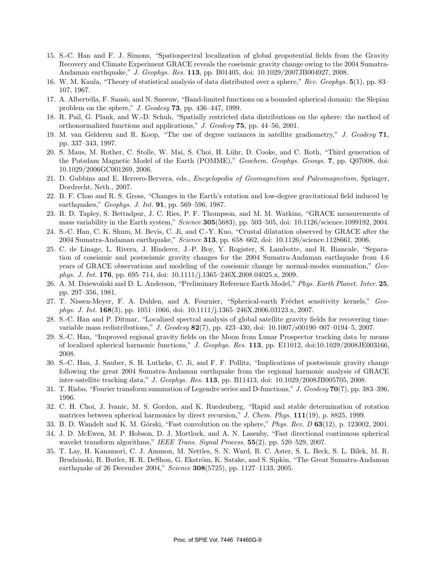- 15. S.-C. Han and F. J. Simons, "Spatiospectral localization of global geopotential fields from the Gravity Recovery and Climate Experiment GRACE reveals the coseismic gravity change owing to the 2004 Sumatra-Andaman earthquake," *J. Geophys. Res.* **113**, pp. B01405, doi: 10.1029/2007JB004927, 2008.
- 16. W. M. Kaula, "Theory of statistical analysis of data distributed over a sphere," *Rev. Geophys.* **5**(1), pp. 83– 107, 1967.
- 17. A. Albertella, F. Sansò, and N. Sneeuw, "Band-limited functions on a bounded spherical domain: the Slepian problem on the sphere," *J. Geodesy* **73**, pp. 436–447, 1999.
- 18. R. Pail, G. Plank, and W.-D. Schuh, "Spatially restricted data distributions on the sphere: the method of orthonormalized functions and applications," *J. Geodesy* **75**, pp. 44–56, 2001.
- 19. M. van Gelderen and R. Koop, "The use of degree variances in satellite gradiometry," *J. Geodesy* **71**, pp. 337–343, 1997.
- 20. S. Maus, M. Rother, C. Stolle, W. Mai, S. Choi, H. Lühr, D. Cooke, and C. Roth, "Third generation of the Potsdam Magnetic Model of the Earth (POMME)," *Geochem. Geophys. Geosys.* **7**, pp. Q07008, doi: 10.1029/2006GC001269, 2006.
- 21. D. Gubbins and E. Herrero-Bervera, eds., *Encyclopedia of Geomagnetism and Paleomagnetism*, Springer, Dordrecht, Neth., 2007.
- 22. B. F. Chao and R. S. Gross, "Changes in the Earth's rotation and low-degree gravitational field induced by earthquakes," *Geophys. J. Int.* **91**, pp. 569–596, 1987.
- 23. B. D. Tapley, S. Bettadpur, J. C. Ries, P. F. Thompson, and M. M. Watkins, "GRACE measurements of mass variability in the Earth system," *Science* **305**(5683), pp. 503–505, doi: 10.1126/science.1099192, 2004.
- 24. S.-C. Han, C. K. Shum, M. Bevis, C. Ji, and C.-Y. Kuo, "Crustal dilatation observed by GRACE after the 2004 Sumatra-Andaman earthquake," *Science* **313**, pp. 658–662, doi: 10.1126/science.1128661, 2006.
- 25. C. de Linage, L. Rivera, J. Hinderer, J.-P. Boy, Y. Rogister, S. Lambotte, and R. Biancale, "Separation of coseismic and postseismic gravity changes for the 2004 Sumatra-Andaman earthquake from 4.6 years of GRACE observations and modeling of the coseismic change by normal-modes summation," *Geophys. J. Int.* **176**, pp. 695–714, doi: 10.1111/j.1365–246X.2008.04025.x, 2009.
- 26. A. M. Dziewo´nski and D. L. Anderson, "Preliminary Reference Earth Model," *Phys. Earth Planet. Inter.* **25**, pp. 297–356, 1981.
- 27. T. Nissen-Meyer, F. A. Dahlen, and A. Fournier, "Spherical-earth Fréchet sensitivity kernels," *Geophys. J. Int.* **168**(3), pp. 1051–1066, doi: 10.1111/j.1365–246X.2006.03123.x, 2007.
- 28. S.-C. Han and P. Ditmar, "Localized spectral analysis of global satellite gravity fields for recovering timevariable mass redistributions," *J. Geodesy* **82**(7), pp. 423–430, doi: 10.1007/s00190–007–0194–5, 2007.
- 29. S.-C. Han, "Improved regional gravity fields on the Moon from Lunar Prospector tracking data by means of localized spherical harmonic functions," *J. Geophys. Res.* **113**, pp. E11012, doi:10.1029/2008JE003166, 2008.
- 30. S.-C. Han, J. Sauber, S. B. Luthcke, C. Ji, and F. F. Pollitz, "Implications of postseismic gravity change following the great 2004 Sumatra-Andaman earthquake from the regional harmonic analysis of GRACE inter-satellite tracking data," *J. Geophys. Res.* **113**, pp. B11413, doi: 10.1029/2008JB005705, 2008.
- 31. T. Risbo, "Fourier transform summation of Legendre series and D-functions," *J. Geodesy* **70**(7), pp. 383–396, 1996.
- 32. C. H. Choi, J. Ivanic, M. S. Gordon, and K. Ruedenberg, "Rapid and stable determination of rotation matrices between spherical harmonics by direct recursion," *J. Chem. Phys.* **111**(19), p. 8825, 1999.
- 33. B. D. Wandelt and K. M. G´orski, "Fast convolution on the sphere," *Phys. Rev. D* **63**(12), p. 123002, 2001.
- 34. J. D. McEwen, M. P. Hobson, D. J. Mortlock, and A. N. Lasenby, "Fast directional continuous spherical wavelet transform algorithms," *IEEE Trans. Signal Process.* **55**(2), pp. 520–529, 2007.
- 35. T. Lay, H. Kanamori, C. J. Ammon, M. Nettles, S. N. Ward, R. C. Aster, S. L. Beck, S. L. Bilek, M. R. Brudzinski, R. Butler, H. R. DeShon, G. Ekström, K. Satake, and S. Sipkin, "The Great Sumatra-Andaman earthquake of 26 December 2004," *Science* **308**(5725), pp. 1127–1133, 2005.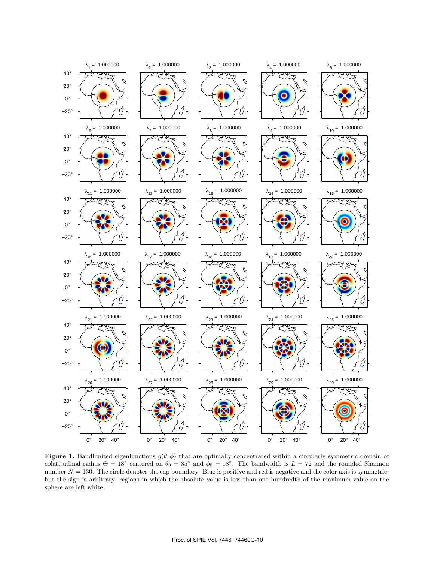

**Figure 1.** Bandlimited eigenfunctions  $g(\theta, \phi)$  that are optimally concentrated within a circularly symmetric domain of colatitudinal radius  $\Theta = 18^\circ$  centered on  $\theta_0 = 85^\circ$  and  $\phi_0 = 18^\circ$ . The bandwidth is  $L = 72$  and the rounded Shannon number  $N = 130$ . The circle denotes the cap boundary. Blue is positive and red is negative and the color axis is symmetric, but the sign is arbitrary; regions in which the absolute value is less than one hundredth of the maximum value on the sphere are left white.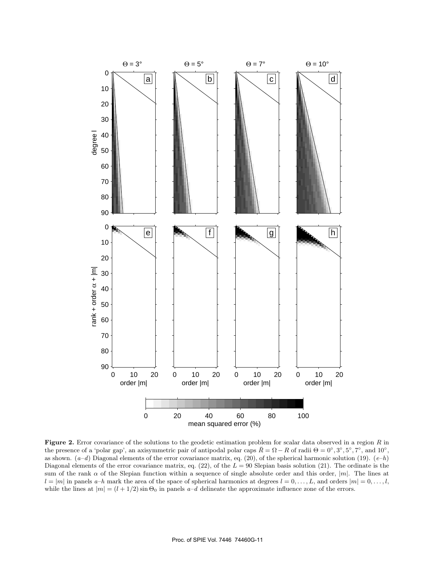

**Figure 2.** Error covariance of the solutions to the geodetic estimation problem for scalar data observed in a region R in the presence of a 'polar gap', an axisymmetric pair of antipodal polar caps  $\bar{R} = \Omega - R$  of radii  $\Theta = 0^\circ, 3^\circ, 5^\circ, 7^\circ$ , and  $10^\circ$ , as shown. (*a*–*d*) Diagonal elements of the error covariance matrix, eq. (20), of the spherical harmonic solution (19). (*e*–*h*) Diagonal elements of the error covariance matrix, eq. (22), of the  $L = 90$  Slepian basis solution (21). The ordinate is the sum of the rank  $\alpha$  of the Slepian function within a sequence of single absolute order and this order,  $|m|$ . The lines at  $l = |m|$  in panels  $a-h$  mark the area of the space of spherical harmonics at degrees  $l = 0, \ldots, L$ , and orders  $|m| = 0, \ldots, l$ , while the lines at  $|m| = (l + 1/2) \sin \Theta_0$  in panels  $a-d$  delineate the approximate influence zone of the errors.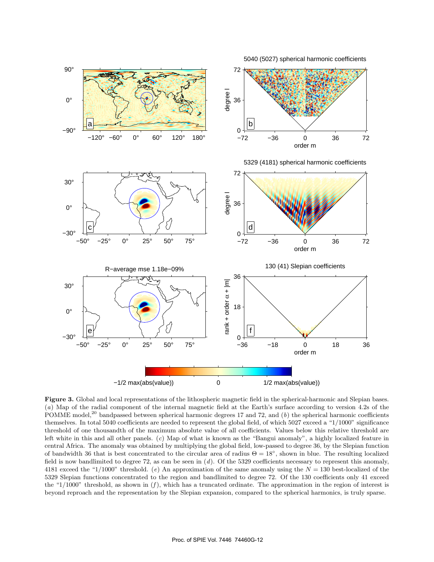

**Figure 3.** Global and local representations of the lithospheric magnetic field in the spherical-harmonic and Slepian bases. (a) Map of the radial component of the internal magnetic field at the Earth's surface according POMME model,<sup>20</sup> bandpassed between spherical harmonic degrees 17 and 72, and  $(b)$  the spherical harmonic coefficients themselves. In total 5040 coefficients are needed to represent the global field, of which 5027 exceed a "1/1000" significance threshold of one thousandth of the maximum absolute value of all coefficients. Values below this relative threshold are left white in this and all other panels. (*c*) Map of what is known as the "Bangui anomaly", a highly localized feature in central Africa. The anomaly was obtained by multiplying the global field, low-passed to degree 36, by the Slepian function of bandwidth 36 that is best concentrated to the circular area of radius  $\Theta = 18^\circ$ , shown in blue. The resulting localized field is now bandlimited to degree 72, as can be seen in (*d*). Of the 5329 coefficients necessary to represent this anomaly, 4181 exceed the "1/1000" threshold. (*e*) An approximation of the same anomaly using the N = 130 best-localized of the 5329 Slepian functions concentrated to the region and bandlimited to degree 72. Of the 130 coefficients only 41 exceed the "1/1000" threshold, as shown in (*f* ), which has a truncated ordinate. The approximation in the region of interest is beyond reproach and the representation by the Slepian expansion, compared to the spherical harmonics, is truly sparse.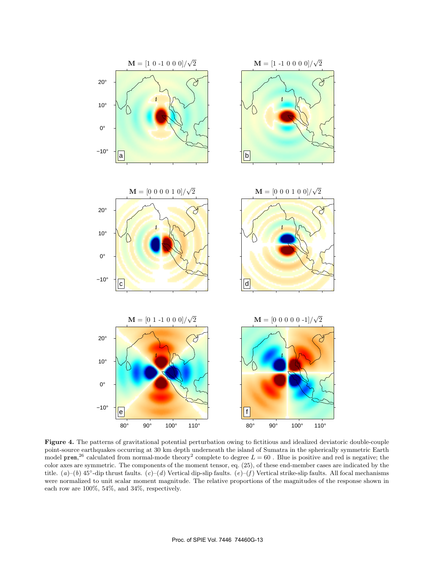

**Figure 4.** The patterns of gravitational potential perturbation owing to fictitious and idealized deviatoric double-couple point-source earthquakes occurring at 30 km depth underneath the island of Sumatra in the spherically symmetric Earth model prem,<sup>26</sup> calculated from normal-mode theory<sup>2</sup> complete to degree  $L = 60$ . Blue is positive and red is negative; the<br>color axes are symmetric. The components of the moment tensor, eq. (25), of these and member case color axes are symmetric. The components of the moment tensor, eq. (25), of these end-member cases are indicated by the title. (*a*)–(*b*) 45◦-dip thrust faults. (*c*)–(*d*) Vertical dip-slip faults. (*e*)–(*f* ) Vertical strike-slip faults. All focal mechanisms were normalized to unit scalar moment magnitude. The relative proportions of the magnitudes of the response shown in each row are 100%, 54%, and 34%, respectively.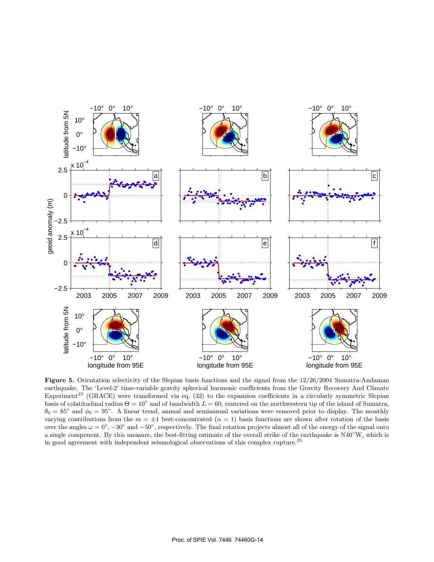

**Figure 5.** Orientation selectivity of the Slepian basis functions and the signal from the 12/26/2004 Sumatra-Andaman earthquake. The 'Level-2' time-variable gravity spherical harmonic coefficients from the Gravity Recovery And Climate Experiment<sup>23</sup> (GRACE) were transformed via eq.  $(32)$  to the expansion coefficients in a circularly symmetric Slepian basis of colatitudinal radius  $\Theta = 10^{\circ}$  and of bandwidth  $L = 60$ , centered on the northwestern tip of the island of Sumatra,  $\theta_0 = 85^\circ$  and  $\phi_0 = 95^\circ$ . A linear trend, annual and semiannual variations were removed prior to display. The monthly varying contributions from the  $m = \pm 1$  best-concentrated  $(\alpha = 1)$  basis functions are shown after rotation of the basis over the angles  $\omega = 0^{\circ}$ ,  $-30^{\circ}$  and  $-50^{\circ}$ , respectively. The final rotation projects almost all of the energy of the signal onto a single component. By this measure, the best-fitting estimate of the overall strike of the earthquake is N40<sup>°</sup>W, which is in good agreement with independent seismological observations of this complex rupture.<sup>35</sup>